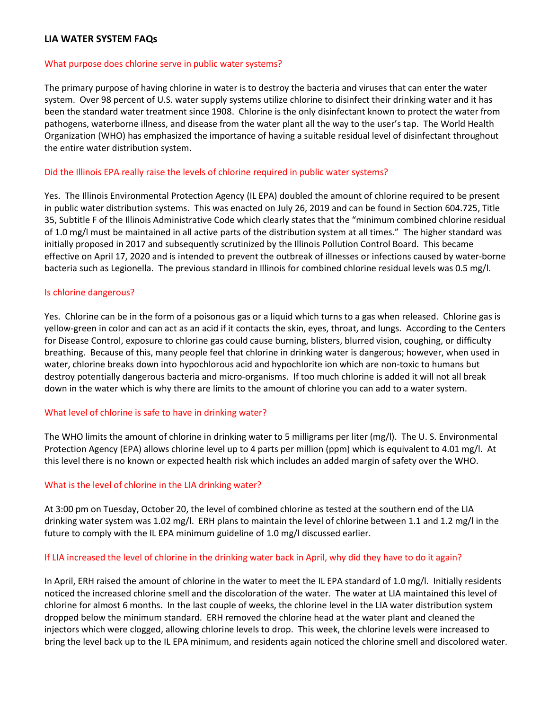# **LIA WATER SYSTEM FAQs**

#### What purpose does chlorine serve in public water systems?

The primary purpose of having chlorine in water is to destroy the bacteria and viruses that can enter the water system. Over 98 percent of U.S. water supply systems utilize chlorine to disinfect their drinking water and it has been the standard water treatment since 1908. Chlorine is the only disinfectant known to protect the water from pathogens, waterborne illness, and disease from the water plant all the way to the user's tap. The World Health Organization (WHO) has emphasized the importance of having a suitable residual level of disinfectant throughout the entire water distribution system.

# Did the Illinois EPA really raise the levels of chlorine required in public water systems?

Yes. The Illinois Environmental Protection Agency (IL EPA) doubled the amount of chlorine required to be present in public water distribution systems. This was enacted on July 26, 2019 and can be found in Section 604.725, Title 35, Subtitle F of the Illinois Administrative Code which clearly states that the "minimum combined chlorine residual of 1.0 mg/l must be maintained in all active parts of the distribution system at all times." The higher standard was initially proposed in 2017 and subsequently scrutinized by the Illinois Pollution Control Board. This became effective on April 17, 2020 and is intended to prevent the outbreak of illnesses or infections caused by water-borne bacteria such as Legionella. The previous standard in Illinois for combined chlorine residual levels was 0.5 mg/l.

## Is chlorine dangerous?

Yes. Chlorine can be in the form of a poisonous gas or a liquid which turns to a gas when released. Chlorine gas is yellow-green in color and can act as an acid if it contacts the skin, eyes, throat, and lungs. According to the Centers for Disease Control, exposure to chlorine gas could cause burning, blisters, blurred vision, coughing, or difficulty breathing. Because of this, many people feel that chlorine in drinking water is dangerous; however, when used in water, chlorine breaks down into hypochlorous acid and hypochlorite ion which are non-toxic to humans but destroy potentially dangerous bacteria and micro-organisms. If too much chlorine is added it will not all break down in the water which is why there are limits to the amount of chlorine you can add to a water system.

## What level of chlorine is safe to have in drinking water?

The WHO limits the amount of chlorine in drinking water to 5 milligrams per liter (mg/l). The U. S. Environmental Protection Agency (EPA) allows chlorine level up to 4 parts per million (ppm) which is equivalent to 4.01 mg/l. At this level there is no known or expected health risk which includes an added margin of safety over the WHO.

## What is the level of chlorine in the LIA drinking water?

At 3:00 pm on Tuesday, October 20, the level of combined chlorine as tested at the southern end of the LIA drinking water system was 1.02 mg/l. ERH plans to maintain the level of chlorine between 1.1 and 1.2 mg/l in the future to comply with the IL EPA minimum guideline of 1.0 mg/l discussed earlier.

## If LIA increased the level of chlorine in the drinking water back in April, why did they have to do it again?

In April, ERH raised the amount of chlorine in the water to meet the IL EPA standard of 1.0 mg/l. Initially residents noticed the increased chlorine smell and the discoloration of the water. The water at LIA maintained this level of chlorine for almost 6 months. In the last couple of weeks, the chlorine level in the LIA water distribution system dropped below the minimum standard. ERH removed the chlorine head at the water plant and cleaned the injectors which were clogged, allowing chlorine levels to drop. This week, the chlorine levels were increased to bring the level back up to the IL EPA minimum, and residents again noticed the chlorine smell and discolored water.